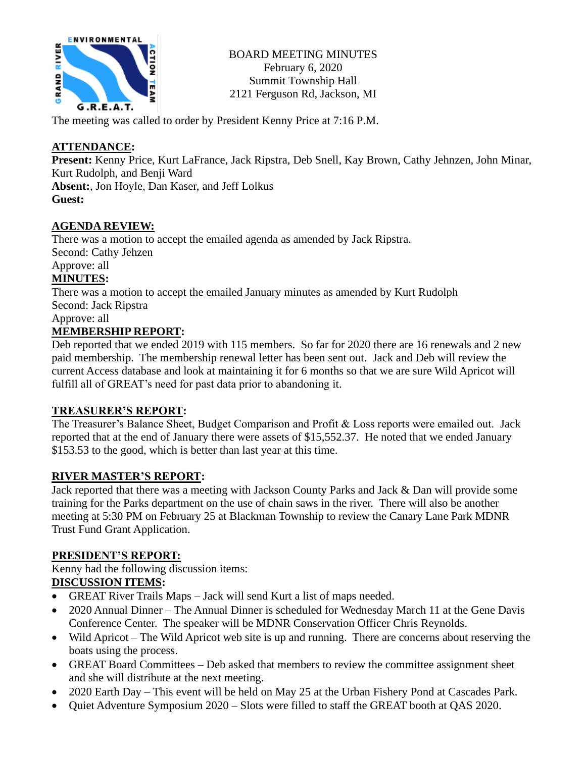

BOARD MEETING MINUTES February 6, 2020 Summit Township Hall 2121 Ferguson Rd, Jackson, MI

The meeting was called to order by President Kenny Price at 7:16 P.M.

# **ATTENDANCE:**

**Present:** Kenny Price, Kurt LaFrance, Jack Ripstra, Deb Snell, Kay Brown, Cathy Jehnzen, John Minar, Kurt Rudolph, and Benji Ward

**Absent:**, Jon Hoyle, Dan Kaser, and Jeff Lolkus **Guest:**

# **AGENDA REVIEW:**

There was a motion to accept the emailed agenda as amended by Jack Ripstra. Second: Cathy Jehzen

#### Approve: all **MINUTES:**

There was a motion to accept the emailed January minutes as amended by Kurt Rudolph Second: Jack Ripstra

Approve: all

# **MEMBERSHIP REPORT:**

Deb reported that we ended 2019 with 115 members. So far for 2020 there are 16 renewals and 2 new paid membership. The membership renewal letter has been sent out. Jack and Deb will review the current Access database and look at maintaining it for 6 months so that we are sure Wild Apricot will fulfill all of GREAT's need for past data prior to abandoning it.

# **TREASURER'S REPORT:**

The Treasurer's Balance Sheet, Budget Comparison and Profit & Loss reports were emailed out. Jack reported that at the end of January there were assets of \$15,552.37. He noted that we ended January \$153.53 to the good, which is better than last year at this time.

# **RIVER MASTER'S REPORT:**

Jack reported that there was a meeting with Jackson County Parks and Jack & Dan will provide some training for the Parks department on the use of chain saws in the river. There will also be another meeting at 5:30 PM on February 25 at Blackman Township to review the Canary Lane Park MDNR Trust Fund Grant Application.

# **PRESIDENT'S REPORT:**

Kenny had the following discussion items: **DISCUSSION ITEMS:**

- GREAT River Trails Maps Jack will send Kurt a list of maps needed.
- 2020 Annual Dinner The Annual Dinner is scheduled for Wednesday March 11 at the Gene Davis Conference Center. The speaker will be MDNR Conservation Officer Chris Reynolds.
- Wild Apricot The Wild Apricot web site is up and running. There are concerns about reserving the boats using the process.
- GREAT Board Committees Deb asked that members to review the committee assignment sheet and she will distribute at the next meeting.
- 2020 Earth Day This event will be held on May 25 at the Urban Fishery Pond at Cascades Park.
- Quiet Adventure Symposium 2020 Slots were filled to staff the GREAT booth at QAS 2020.